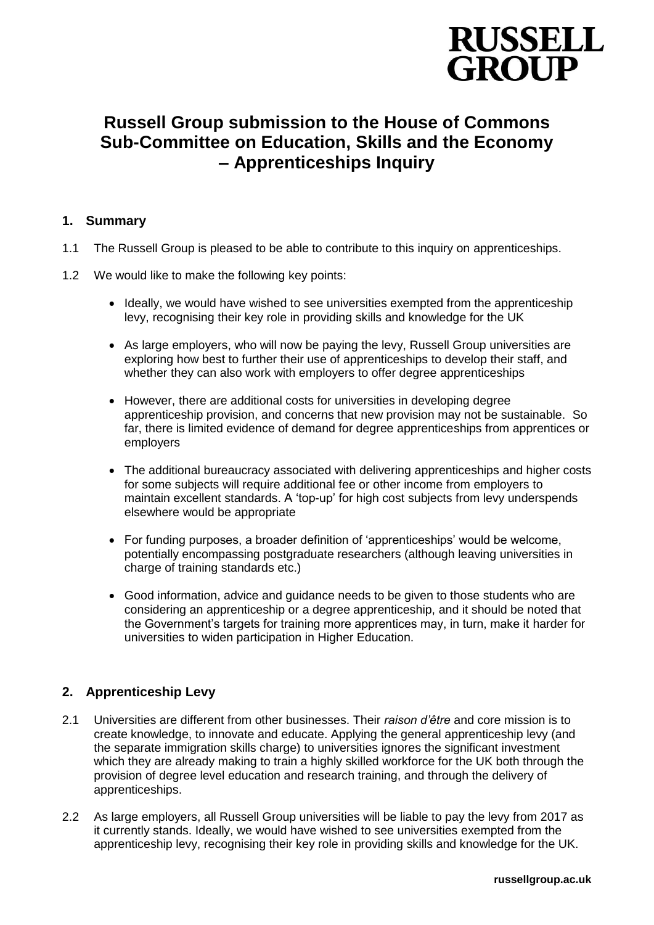

# **Russell Group submission to the House of Commons Sub-Committee on Education, Skills and the Economy – Apprenticeships Inquiry**

### **1. Summary**

- 1.1 The Russell Group is pleased to be able to contribute to this inquiry on apprenticeships.
- 1.2 We would like to make the following key points:
	- Ideally, we would have wished to see universities exempted from the apprenticeship levy, recognising their key role in providing skills and knowledge for the UK
	- As large employers, who will now be paying the levy, Russell Group universities are exploring how best to further their use of apprenticeships to develop their staff, and whether they can also work with employers to offer degree apprenticeships
	- However, there are additional costs for universities in developing degree apprenticeship provision, and concerns that new provision may not be sustainable. So far, there is limited evidence of demand for degree apprenticeships from apprentices or employers
	- The additional bureaucracy associated with delivering apprenticeships and higher costs for some subjects will require additional fee or other income from employers to maintain excellent standards. A 'top-up' for high cost subjects from levy underspends elsewhere would be appropriate
	- For funding purposes, a broader definition of 'apprenticeships' would be welcome, potentially encompassing postgraduate researchers (although leaving universities in charge of training standards etc.)
	- Good information, advice and guidance needs to be given to those students who are considering an apprenticeship or a degree apprenticeship, and it should be noted that the Government's targets for training more apprentices may, in turn, make it harder for universities to widen participation in Higher Education.

### **2. Apprenticeship Levy**

- 2.1 Universities are different from other businesses. Their *raison d'être* and core mission is to create knowledge, to innovate and educate. Applying the general apprenticeship levy (and the separate immigration skills charge) to universities ignores the significant investment which they are already making to train a highly skilled workforce for the UK both through the provision of degree level education and research training, and through the delivery of apprenticeships.
- 2.2 As large employers, all Russell Group universities will be liable to pay the levy from 2017 as it currently stands. Ideally, we would have wished to see universities exempted from the apprenticeship levy, recognising their key role in providing skills and knowledge for the UK.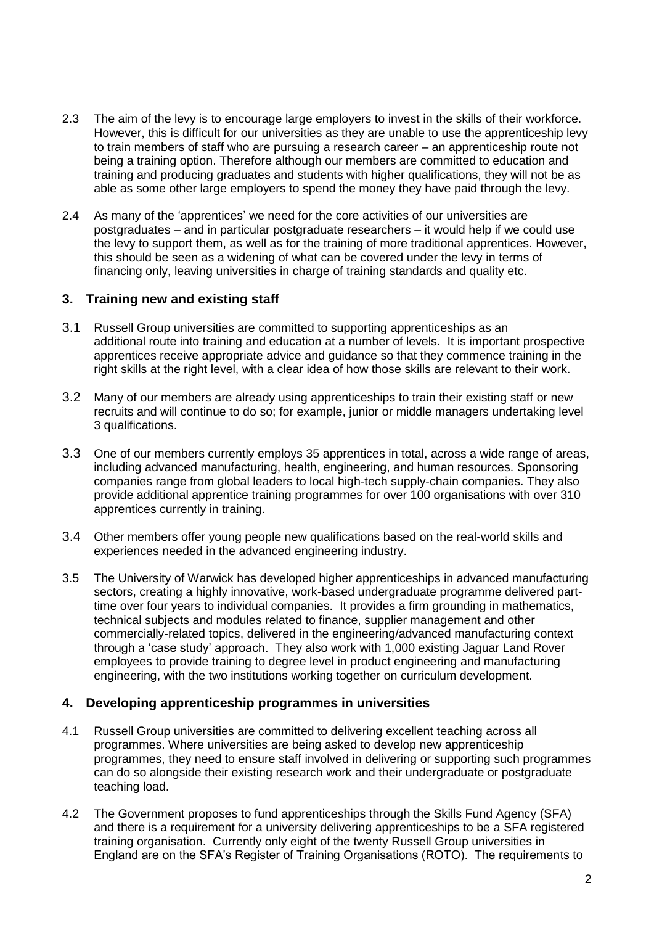- 2.3 The aim of the levy is to encourage large employers to invest in the skills of their workforce. However, this is difficult for our universities as they are unable to use the apprenticeship levy to train members of staff who are pursuing a research career – an apprenticeship route not being a training option. Therefore although our members are committed to education and training and producing graduates and students with higher qualifications, they will not be as able as some other large employers to spend the money they have paid through the levy.
- 2.4 As many of the 'apprentices' we need for the core activities of our universities are postgraduates – and in particular postgraduate researchers – it would help if we could use the levy to support them, as well as for the training of more traditional apprentices. However, this should be seen as a widening of what can be covered under the levy in terms of financing only, leaving universities in charge of training standards and quality etc.

### **3. Training new and existing staff**

- 3.1 Russell Group universities are committed to supporting apprenticeships as an additional route into training and education at a number of levels. It is important prospective apprentices receive appropriate advice and guidance so that they commence training in the right skills at the right level, with a clear idea of how those skills are relevant to their work.
- 3.2 Many of our members are already using apprenticeships to train their existing staff or new recruits and will continue to do so; for example, junior or middle managers undertaking level 3 qualifications.
- 3.3 One of our members currently employs 35 apprentices in total, across a wide range of areas, including advanced manufacturing, health, engineering, and human resources. Sponsoring companies range from global leaders to local high-tech supply-chain companies. They also provide additional apprentice training programmes for over 100 organisations with over 310 apprentices currently in training.
- 3.4 Other members offer young people new qualifications based on the real-world skills and experiences needed in the advanced engineering industry.
- 3.5 The University of Warwick has developed higher apprenticeships in advanced manufacturing sectors, creating a highly innovative, work-based undergraduate programme delivered parttime over four years to individual companies. It provides a firm grounding in mathematics, technical subjects and modules related to finance, supplier management and other commercially-related topics, delivered in the engineering/advanced manufacturing context through a 'case study' approach. They also work with 1,000 existing Jaguar Land Rover employees to provide training to degree level in product engineering and manufacturing engineering, with the two institutions working together on curriculum development.

#### **4. Developing apprenticeship programmes in universities**

- 4.1 Russell Group universities are committed to delivering excellent teaching across all programmes. Where universities are being asked to develop new apprenticeship programmes, they need to ensure staff involved in delivering or supporting such programmes can do so alongside their existing research work and their undergraduate or postgraduate teaching load.
- 4.2 The Government proposes to fund apprenticeships through the Skills Fund Agency (SFA) and there is a requirement for a university delivering apprenticeships to be a SFA registered training organisation. Currently only eight of the twenty Russell Group universities in England are on the SFA's Register of Training Organisations (ROTO). The requirements to